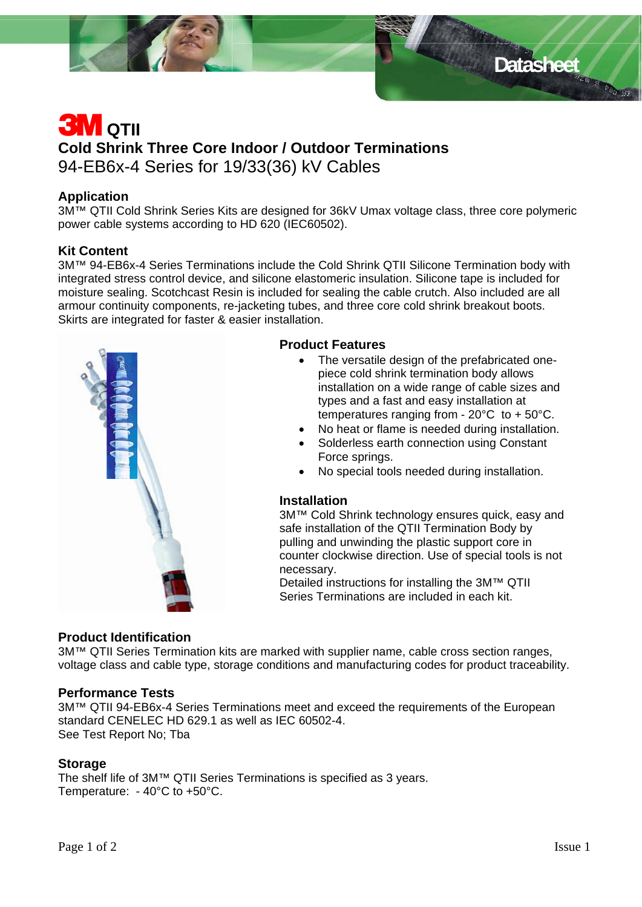

# Datasheet **Bang Datasheet**

## **3M** QTII **Cold Shrink Three Core Indoor / Outdoor Terminations**  94-EB6x-4 Series for 19/33(36) kV Cables

#### **Application**

3M<sup>™</sup> QTII Cold Shrink Series Kits are designed for 36kV Umax voltage class, three core polymeric power cable systems according to HD 620 (IEC60502).

#### **Kit Content**

3M™ 94-EB6x-4 Series Terminations include the Cold Shrink QTII Silicone Termination body with integrated stress control device, and silicone elastomeric insulation. Silicone tape is included for moisture sealing. Scotchcast Resin is included for sealing the cable crutch. Also included are all armour continuity components, re-jacketing tubes, and three core cold shrink breakout boots. Skirts are integrated for faster & easier installation.



#### **Product Features**

- The versatile design of the prefabricated onepiece cold shrink termination body allows installation on a wide range of cable sizes and types and a fast and easy installation at temperatures ranging from - 20°C to + 50°C.
- No heat or flame is needed during installation.
- Solderless earth connection using Constant Force springs.
- No special tools needed during installation.

#### **Installation**

3M™ Cold Shrink technology ensures quick, easy and safe installation of the QTII Termination Body by pulling and unwinding the plastic support core in counter clockwise direction. Use of special tools is not necessary.

Detailed instructions for installing the 3M™ QTII Series Terminations are included in each kit.

#### **Product Identification**

3M™ QTII Series Termination kits are marked with supplier name, cable cross section ranges, voltage class and cable type, storage conditions and manufacturing codes for product traceability.

#### **Performance Tests**

3M™ QTII 94-EB6x-4 Series Terminations meet and exceed the requirements of the European standard CENELEC HD 629.1 as well as IEC 60502-4. See Test Report No; Tba

#### **Storage**

The shelf life of 3M™ QTII Series Terminations is specified as 3 years. Temperature: - 40°C to +50°C.